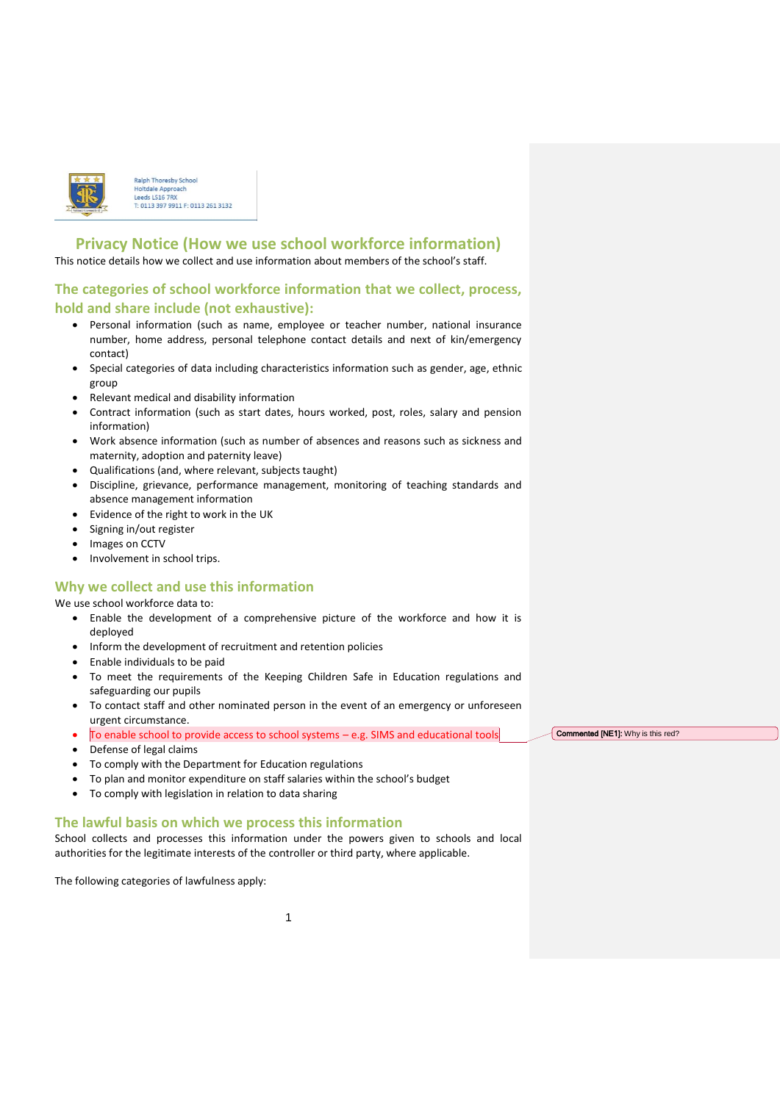

Ralph Thoresby Schoo **Holtdale Approach** Leeds IS16 7RX 0113 397 9911 F: 0113 261 3132

# **Privacy Notice (How we use school workforce information)**

This notice details how we collect and use information about members of the school's staff.

# **The categories of school workforce information that we collect, process, hold and share include (not exhaustive):**

- Personal information (such as name, employee or teacher number, national insurance number, home address, personal telephone contact details and next of kin/emergency contact)
- Special categories of data including characteristics information such as gender, age, ethnic group
- Relevant medical and disability information
- Contract information (such as start dates, hours worked, post, roles, salary and pension information)
- Work absence information (such as number of absences and reasons such as sickness and maternity, adoption and paternity leave)
- Qualifications (and, where relevant, subjects taught)
- Discipline, grievance, performance management, monitoring of teaching standards and absence management information
- Evidence of the right to work in the UK
- Signing in/out register
- Images on CCTV
- Involvement in school trips.

## **Why we collect and use this information**

We use school workforce data to:

- Enable the development of a comprehensive picture of the workforce and how it is deployed
- Inform the development of recruitment and retention policies
- Enable individuals to be paid
- To meet the requirements of the Keeping Children Safe in Education regulations and safeguarding our pupils
- To contact staff and other nominated person in the event of an emergency or unforeseen urgent circumstance.
- $\bullet$  To enable school to provide access to school systems  $-$  e.g. SIMS and educational tools
- Defense of legal claims
- To comply with the Department for Education regulations
- To plan and monitor expenditure on staff salaries within the school's budget
- To comply with legislation in relation to data sharing

### **The lawful basis on which we process this information**

School collects and processes this information under the powers given to schools and local authorities for the legitimate interests of the controller or third party, where applicable.

The following categories of lawfulness apply:

Commented [NE1]: Why is this red?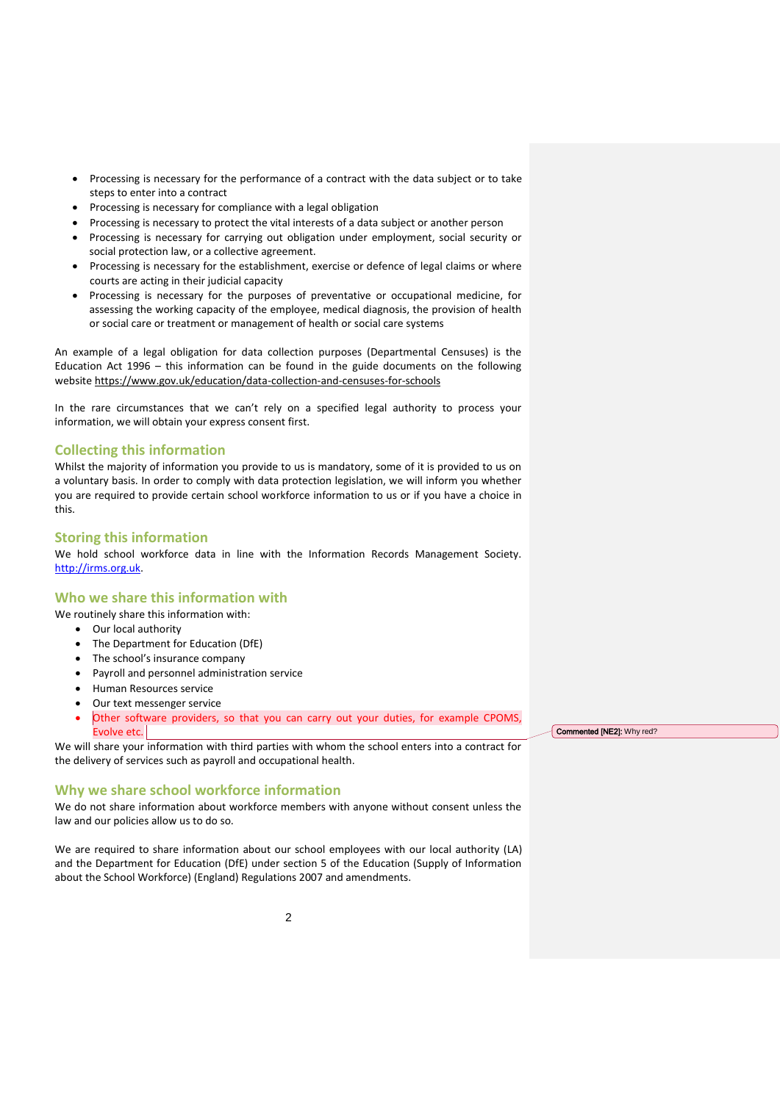- Processing is necessary for the performance of a contract with the data subject or to take steps to enter into a contract
- Processing is necessary for compliance with a legal obligation
- Processing is necessary to protect the vital interests of a data subject or another person
- Processing is necessary for carrying out obligation under employment, social security or social protection law, or a collective agreement.
- Processing is necessary for the establishment, exercise or defence of legal claims or where courts are acting in their judicial capacity
- Processing is necessary for the purposes of preventative or occupational medicine, for assessing the working capacity of the employee, medical diagnosis, the provision of health or social care or treatment or management of health or social care systems

An example of a legal obligation for data collection purposes (Departmental Censuses) is the Education Act 1996 – this information can be found in the guide documents on the following website <https://www.gov.uk/education/data-collection-and-censuses-for-schools>

In the rare circumstances that we can't rely on a specified legal authority to process your information, we will obtain your express consent first.

#### **Collecting this information**

Whilst the majority of information you provide to us is mandatory, some of it is provided to us on a voluntary basis. In order to comply with data protection legislation, we will inform you whether you are required to provide certain school workforce information to us or if you have a choice in this.

#### **Storing this information**

We hold school workforce data in line with the Information Records Management Society. [http://irms.org.uk.](http://irms.org.uk/)

# **Who we share this information with**

- We routinely share this information with:
	- Our local authority
	- The Department for Education (DfE)
	- The school's insurance company
	- Payroll and personnel administration service
	- Human Resources service
	- Our text messenger service
	- Other software providers, so that you can carry out your duties, for example CPOMS, Evolve etc.

We will share your information with third parties with whom the school enters into a contract for the delivery of services such as payroll and occupational health.

### **Why we share school workforce information**

We do not share information about workforce members with anyone without consent unless the law and our policies allow us to do so.

We are required to share information about our school employees with our local authority (LA) and the Department for Education (DfE) under section 5 of the Education (Supply of Information about the School Workforce) (England) Regulations 2007 and amendments.

Commented [NE2]: Why red?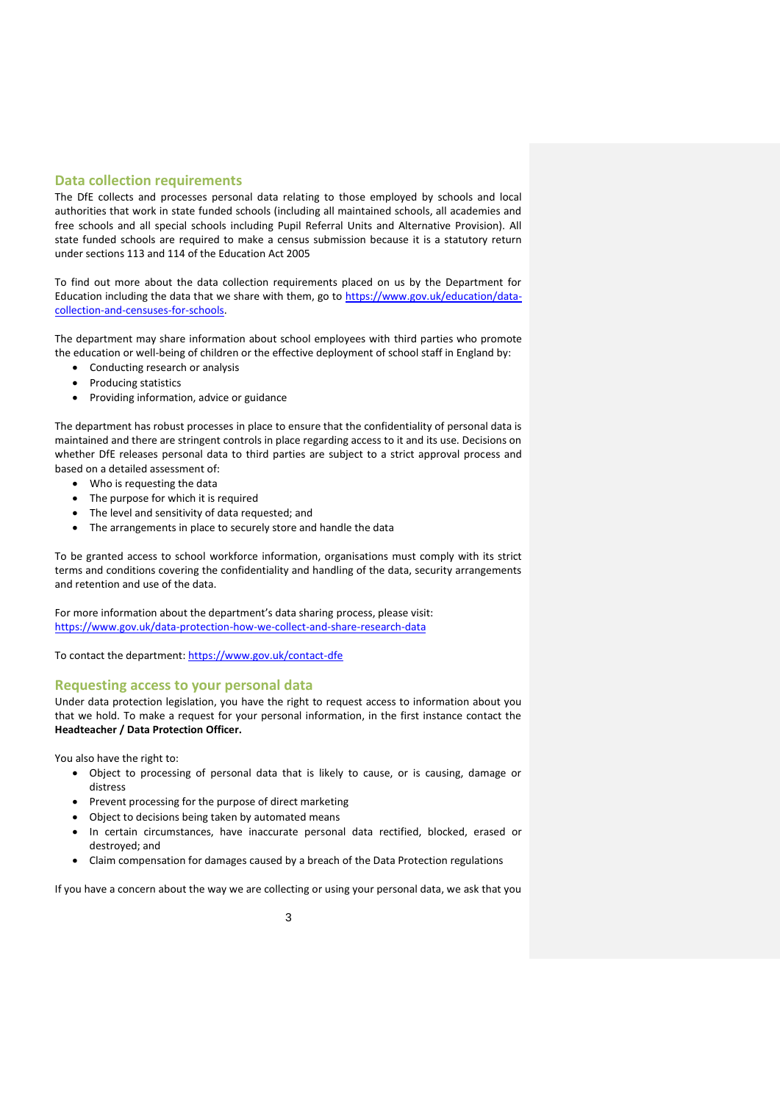#### **Data collection requirements**

The DfE collects and processes personal data relating to those employed by schools and local authorities that work in state funded schools (including all maintained schools, all academies and free schools and all special schools including Pupil Referral Units and Alternative Provision). All state funded schools are required to make a census submission because it is a statutory return under sections 113 and 114 of the Education Act 2005

To find out more about the data collection requirements placed on us by the Department for Education including the data that we share with them, go to [https://www.gov.uk/education/data](https://www.gov.uk/education/data-collection-and-censuses-for-schools)[collection-and-censuses-for-schools.](https://www.gov.uk/education/data-collection-and-censuses-for-schools)

The department may share information about school employees with third parties who promote the education or well-being of children or the effective deployment of school staff in England by:

- Conducting research or analysis
- Producing statistics
- Providing information, advice or guidance

The department has robust processes in place to ensure that the confidentiality of personal data is maintained and there are stringent controls in place regarding access to it and its use. Decisions on whether DfE releases personal data to third parties are subject to a strict approval process and based on a detailed assessment of:

- Who is requesting the data
- The purpose for which it is required
- The level and sensitivity of data requested; and
- The arrangements in place to securely store and handle the data

To be granted access to school workforce information, organisations must comply with its strict terms and conditions covering the confidentiality and handling of the data, security arrangements and retention and use of the data.

For more information about the department's data sharing process, please visit: <https://www.gov.uk/data-protection-how-we-collect-and-share-research-data>

To contact the department:<https://www.gov.uk/contact-dfe>

#### **Requesting access to your personal data**

Under data protection legislation, you have the right to request access to information about you that we hold. To make a request for your personal information, in the first instance contact the **Headteacher / Data Protection Officer.** 

You also have the right to:

- Object to processing of personal data that is likely to cause, or is causing, damage or distress
- Prevent processing for the purpose of direct marketing
- Object to decisions being taken by automated means
- In certain circumstances, have inaccurate personal data rectified, blocked, erased or destroyed; and
- Claim compensation for damages caused by a breach of the Data Protection regulations

If you have a concern about the way we are collecting or using your personal data, we ask that you